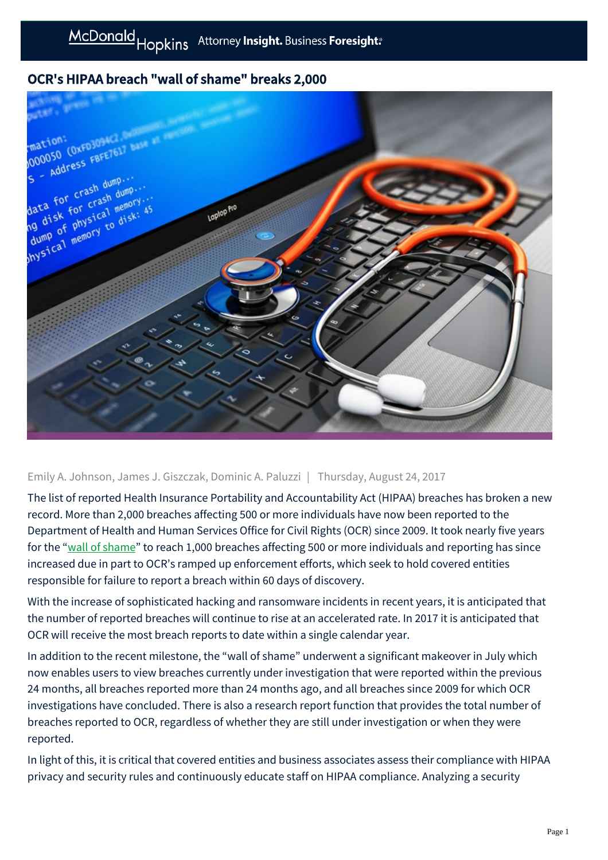# OCR's HIPAA breach "wall of shame" breaks 2,000



### Emily A. Johnson, James J. Giszczak, Dominic A. Paluzzi | Thursday, August 24, 2017

The list of reported Health Insurance Portability and Accountability Act (HIPAA) breaches has broken a new record. More than 2,000 breaches affecting 500 or more individuals have now been reported to the Department of Health and Human Services Office for Civil Rights (OCR) since 2009. It took nearly five years for the ["wall of shame"](https://ocrportal.hhs.gov/ocr/breach/breach_report.jsf) to reach 1,000 breaches affecting 500 or more individuals and reporting has since increased due in part to OCR's ramped up enforcement efforts, which seek to hold covered entities responsible for failure to report a breach within 60 days of discovery.

With the increase of sophisticated hacking and ransomware incidents in recent years, it is anticipated that the number of reported breaches will continue to rise at an accelerated rate. In 2017 it is anticipated that OCR will receive the most breach reports to date within a single calendar year.

In addition to the recent milestone, the "wall of shame" underwent a significant makeover in July which now enables users to view breaches currently under investigation that were reported within the previous 24 months, all breaches reported more than 24 months ago, and all breaches since 2009 for which OCR investigations have concluded. There is also a research report function that provides the total number of breaches reported to OCR, regardless of whether they are still under investigation or when they were reported.

In light of this, it is critical that covered entities and business associates assess their compliance with HIPAA privacy and security rules and continuously educate staff on HIPAA compliance. Analyzing a security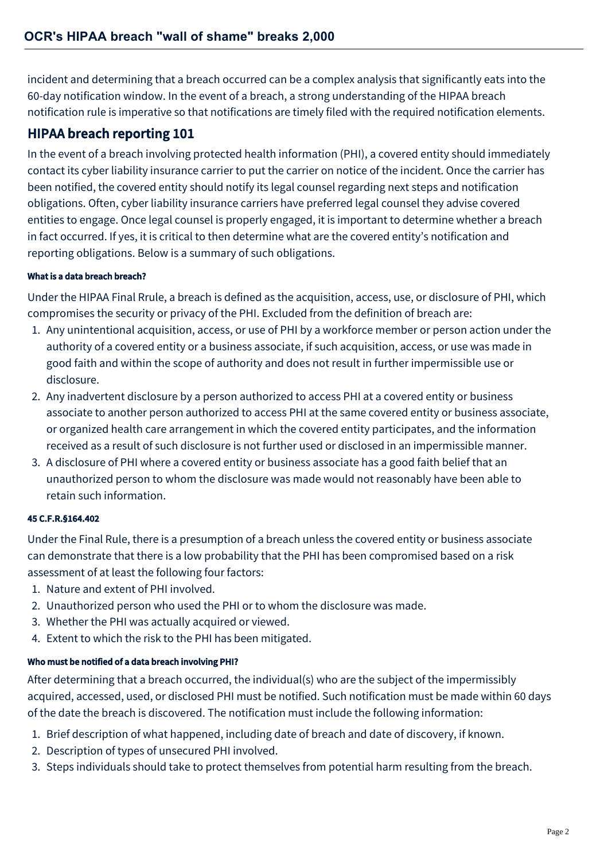incident and determining that a breach occurred can be a complex analysis that significantly eats into the 60-day notification window. In the event of a breach, a strong understanding of the HIPAA breach notification rule is imperative so that notifications are timely filed with the required notification elements.

# HIPAA breach reporting 101

In the event of a breach involving protected health information (PHI), a covered entity should immediately contact its cyber liability insurance carrier to put the carrier on notice of the incident. Once the carrier has been notified, the covered entity should notify its legal counsel regarding next steps and notification obligations. Often, cyber liability insurance carriers have preferred legal counsel they advise covered entities to engage. Once legal counsel is properly engaged, it is important to determine whether a breach in fact occurred. If yes, it is critical to then determine what are the covered entity's notification and reporting obligations. Below is a summary of such obligations.

### What is a data breach breach?

Under the HIPAA Final Rrule, a breach is defined as the acquisition, access, use, or disclosure of PHI, which compromises the security or privacy of the PHI. Excluded from the definition of breach are:

- 1. Any unintentional acquisition, access, or use of PHI by a workforce member or person action under the authority of a covered entity or a business associate, if such acquisition, access, or use was made in good faith and within the scope of authority and does not result in further impermissible use or disclosure.
- 2. Any inadvertent disclosure by a person authorized to access PHI at a covered entity or business associate to another person authorized to access PHI at the same covered entity or business associate, or organized health care arrangement in which the covered entity participates, and the information received as a result of such disclosure is not further used or disclosed in an impermissible manner.
- 3. A disclosure of PHI where a covered entity or business associate has a good faith belief that an unauthorized person to whom the disclosure was made would not reasonably have been able to retain such information.

### 45 C.F.R.§164.402

Under the Final Rule, there is a presumption of a breach unless the covered entity or business associate can demonstrate that there is a low probability that the PHI has been compromised based on a risk assessment of at least the following four factors:

- 1. Nature and extent of PHI involved.
- 2. Unauthorized person who used the PHI or to whom the disclosure was made.
- 3. Whether the PHI was actually acquired or viewed.
- 4. Extent to which the risk to the PHI has been mitigated.

### Who must be notified of a data breach involving PHI?

After determining that a breach occurred, the individual(s) who are the subject of the impermissibly acquired, accessed, used, or disclosed PHI must be notified. Such notification must be made within 60 days of the date the breach is discovered. The notification must include the following information:

- 1. Brief description of what happened, including date of breach and date of discovery, if known.
- 2. Description of types of unsecured PHI involved.
- 3. Steps individuals should take to protect themselves from potential harm resulting from the breach.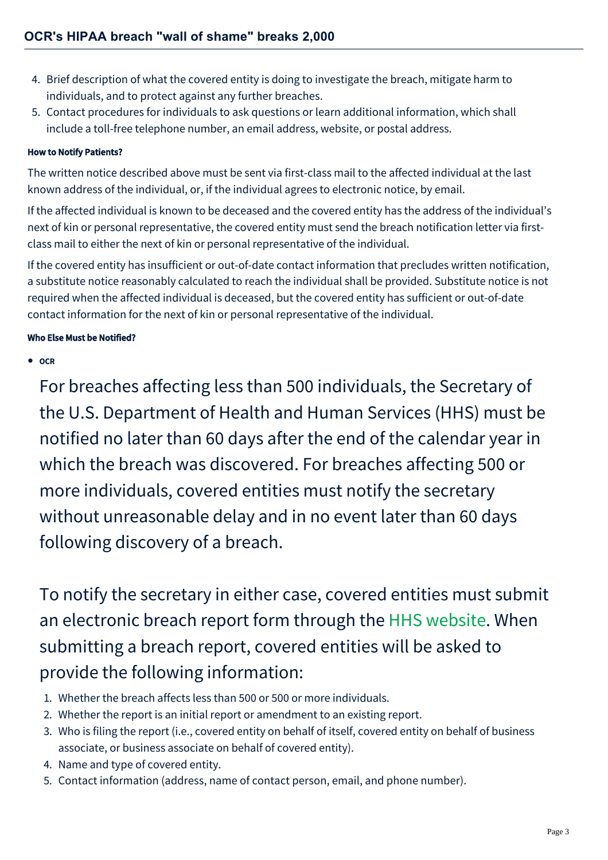- 4. Brief description of what the covered entity is doing to investigate the breach, mitigate harm to individuals, and to protect against any further breaches.
- 5. Contact procedures for individuals to ask questions or learn additional information, which shall include a toll-free telephone number, an email address, website, or postal address.

#### How to Notify Patients?

The written notice described above must be sent via first-class mail to the affected individual at the last known address of the individual, or, if the individual agrees to electronic notice, by email.

If the affected individual is known to be deceased and the covered entity has the address of the individual's next of kin or personal representative, the covered entity must send the breach notification letter via firstclass mail to either the next of kin or personal representative of the individual.

If the covered entity has insufficient or out-of-date contact information that precludes written notification, a substitute notice reasonably calculated to reach the individual shall be provided. Substitute notice is not required when the affected individual is deceased, but the covered entity has sufficient or out-of-date contact information for the next of kin or personal representative of the individual.

#### Who Else Must be Notified?

**OCR**

For breaches affecting less than 500 individuals, the Secretary of the U.S. Department of Health and Human Services (HHS) must be notified no later than 60 days after the end of the calendar year in which the breach was discovered. For breaches affecting 500 or more individuals, covered entities must notify the secretary without unreasonable delay and in no event later than 60 days following discovery of a breach.

To notify the secretary in either case, covered entities must submit an electronic breach report form through the [HHS website.](https://ocrportal.hhs.gov/ocr/breach/wizard_breach.jsf?faces-redirect=true) When submitting a breach report, covered entities will be asked to provide the following information:

- 1. Whether the breach affects less than 500 or 500 or more individuals.
- 2. Whether the report is an initial report or amendment to an existing report.
- 3. Who is filing the report (i.e., covered entity on behalf of itself, covered entity on behalf of business associate, or business associate on behalf of covered entity).
- 4. Name and type of covered entity.
- 5. Contact information (address, name of contact person, email, and phone number).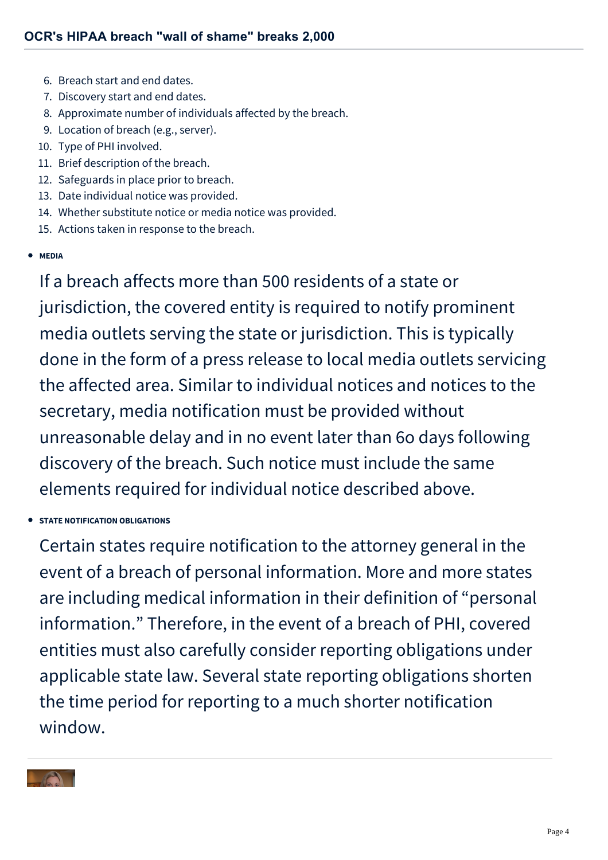- 6. Breach start and end dates.
- 7. Discovery start and end dates.
- 8. Approximate number of individuals affected by the breach.
- 9. Location of breach (e.g., server).
- 10. Type of PHI involved.
- 11. Brief description of the breach.
- 12. Safeguards in place prior to breach.
- 13. Date individual notice was provided.
- 14. Whether substitute notice or media notice was provided.
- 15. Actions taken in response to the breach.

### **MEDIA**

If a breach affects more than 500 residents of a state or jurisdiction, the covered entity is required to notify prominent media outlets serving the state or jurisdiction. This is typically done in the form of a press release to local media outlets servicing the affected area. Similar to individual notices and notices to the secretary, media notification must be provided without unreasonable delay and in no event later than 6o days following discovery of the breach. Such notice must include the same elements required for individual notice described above.

**STATE NOTIFICATION OBLIGATIONS**

Certain states require notification to the attorney general in the event of a breach of personal information. More and more states are including medical information in their definition of "personal information." Therefore, in the event of a breach of PHI, covered entities must also carefully consider reporting obligations under applicable state law. Several state reporting obligations shorten the time period for reporting to a much shorter notification window.